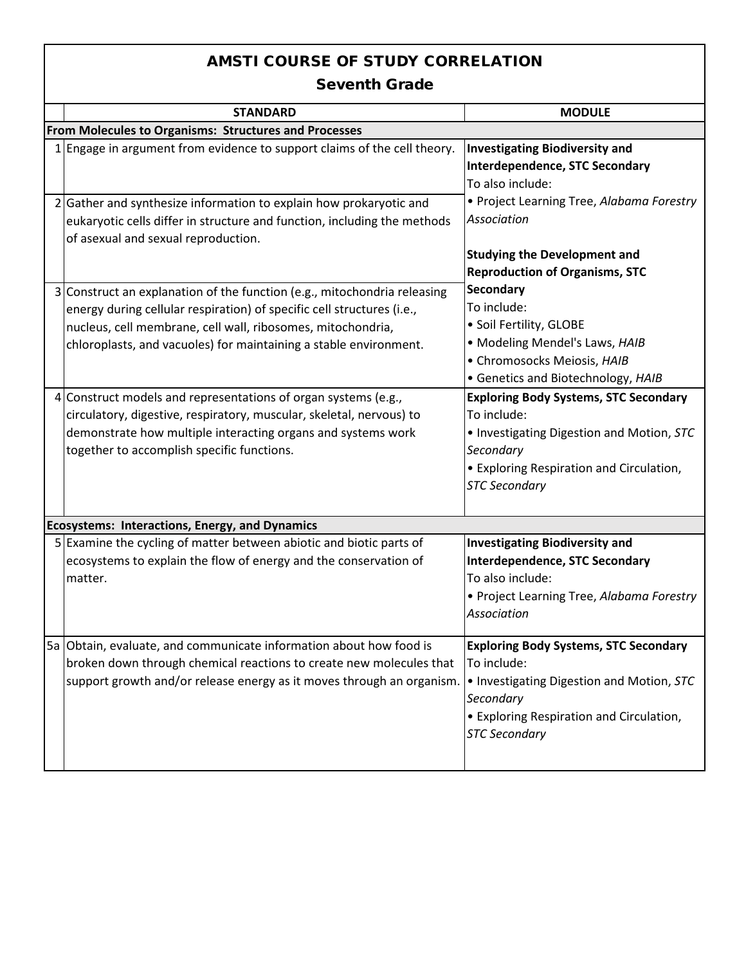|                | <b>STANDARD</b>                                                                                                                                                                                                                                                                      | <b>MODULE</b>                                                                                                                                                                             |  |  |  |  |
|----------------|--------------------------------------------------------------------------------------------------------------------------------------------------------------------------------------------------------------------------------------------------------------------------------------|-------------------------------------------------------------------------------------------------------------------------------------------------------------------------------------------|--|--|--|--|
|                | From Molecules to Organisms: Structures and Processes                                                                                                                                                                                                                                |                                                                                                                                                                                           |  |  |  |  |
|                | 1 Engage in argument from evidence to support claims of the cell theory.                                                                                                                                                                                                             | <b>Investigating Biodiversity and</b><br><b>Interdependence, STC Secondary</b><br>To also include:                                                                                        |  |  |  |  |
| $\overline{2}$ | Gather and synthesize information to explain how prokaryotic and<br>eukaryotic cells differ in structure and function, including the methods<br>of asexual and sexual reproduction.                                                                                                  | • Project Learning Tree, Alabama Forestry<br>Association<br><b>Studying the Development and</b><br><b>Reproduction of Organisms, STC</b>                                                  |  |  |  |  |
| $\overline{3}$ | Construct an explanation of the function (e.g., mitochondria releasing<br>energy during cellular respiration) of specific cell structures (i.e.,<br>nucleus, cell membrane, cell wall, ribosomes, mitochondria,<br>chloroplasts, and vacuoles) for maintaining a stable environment. | <b>Secondary</b><br>To include:<br>• Soil Fertility, GLOBE<br>• Modeling Mendel's Laws, HAIB<br>· Chromosocks Meiosis, HAIB<br>• Genetics and Biotechnology, HAIB                         |  |  |  |  |
| 4              | Construct models and representations of organ systems (e.g.,<br>circulatory, digestive, respiratory, muscular, skeletal, nervous) to<br>demonstrate how multiple interacting organs and systems work<br>together to accomplish specific functions.                                   | <b>Exploring Body Systems, STC Secondary</b><br>To include:<br>. Investigating Digestion and Motion, STC<br>Secondary<br>• Exploring Respiration and Circulation,<br><b>STC Secondary</b> |  |  |  |  |
|                | <b>Ecosystems: Interactions, Energy, and Dynamics</b>                                                                                                                                                                                                                                |                                                                                                                                                                                           |  |  |  |  |
|                | 5 Examine the cycling of matter between abiotic and biotic parts of<br>ecosystems to explain the flow of energy and the conservation of<br>matter.                                                                                                                                   | <b>Investigating Biodiversity and</b><br><b>Interdependence, STC Secondary</b><br>To also include:<br>• Project Learning Tree, Alabama Forestry<br>Association                            |  |  |  |  |
|                | 5a Obtain, evaluate, and communicate information about how food is<br>broken down through chemical reactions to create new molecules that<br>support growth and/or release energy as it moves through an organism.                                                                   | <b>Exploring Body Systems, STC Secondary</b><br>To include:<br>. Investigating Digestion and Motion, STC<br>Secondary<br>• Exploring Respiration and Circulation,<br><b>STC Secondary</b> |  |  |  |  |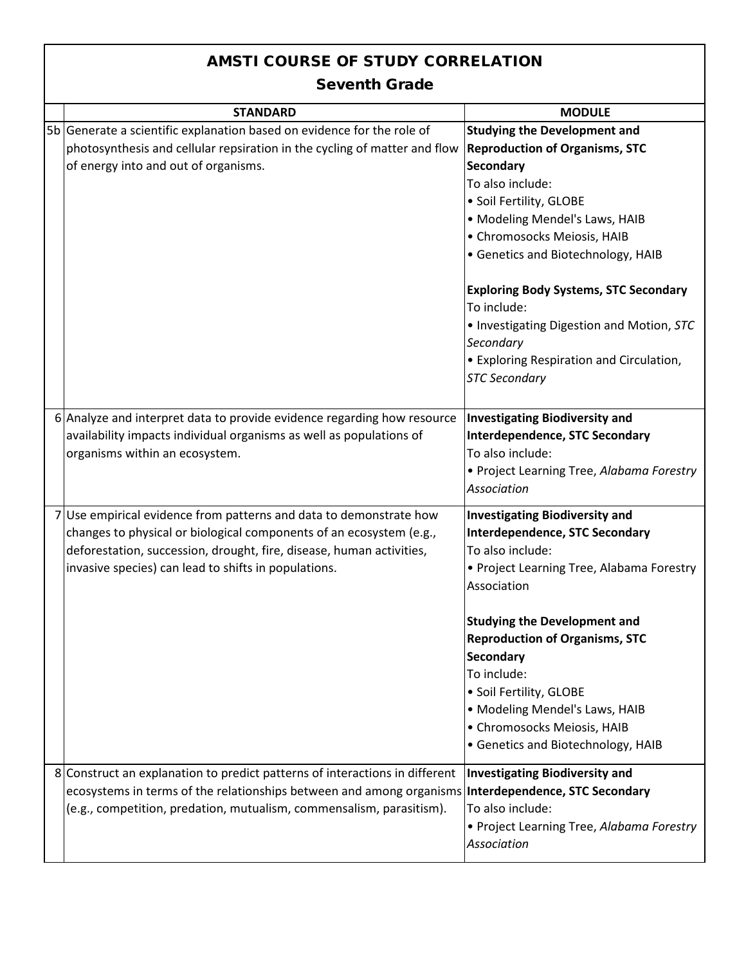| <b>STANDARD</b>                                                                                                                                                                                                                                                         | <b>MODULE</b>                                                                                                                                                                                                                                                                                                                                                                                                                                       |  |  |  |
|-------------------------------------------------------------------------------------------------------------------------------------------------------------------------------------------------------------------------------------------------------------------------|-----------------------------------------------------------------------------------------------------------------------------------------------------------------------------------------------------------------------------------------------------------------------------------------------------------------------------------------------------------------------------------------------------------------------------------------------------|--|--|--|
| 5b Generate a scientific explanation based on evidence for the role of<br>photosynthesis and cellular repsiration in the cycling of matter and flow<br>of energy into and out of organisms.                                                                             | <b>Studying the Development and</b><br><b>Reproduction of Organisms, STC</b><br><b>Secondary</b><br>To also include:<br>· Soil Fertility, GLOBE<br>• Modeling Mendel's Laws, HAIB<br>· Chromosocks Meiosis, HAIB<br>• Genetics and Biotechnology, HAIB<br><b>Exploring Body Systems, STC Secondary</b><br>To include:<br>. Investigating Digestion and Motion, STC<br>Secondary<br>• Exploring Respiration and Circulation,<br><b>STC Secondary</b> |  |  |  |
| 6 Analyze and interpret data to provide evidence regarding how resource<br>availability impacts individual organisms as well as populations of<br>organisms within an ecosystem.                                                                                        | <b>Investigating Biodiversity and</b><br><b>Interdependence, STC Secondary</b><br>To also include:<br>• Project Learning Tree, Alabama Forestry<br><b>Association</b>                                                                                                                                                                                                                                                                               |  |  |  |
| Use empirical evidence from patterns and data to demonstrate how<br>changes to physical or biological components of an ecosystem (e.g.,<br>deforestation, succession, drought, fire, disease, human activities,<br>invasive species) can lead to shifts in populations. | <b>Investigating Biodiversity and</b><br><b>Interdependence, STC Secondary</b><br>To also include:<br>• Project Learning Tree, Alabama Forestry<br>Association<br><b>Studying the Development and</b><br><b>Reproduction of Organisms, STC</b><br><b>Secondary</b><br>To include:<br>· Soil Fertility, GLOBE<br>• Modeling Mendel's Laws, HAIB<br>· Chromosocks Meiosis, HAIB<br>• Genetics and Biotechnology, HAIB                                 |  |  |  |
| 8 Construct an explanation to predict patterns of interactions in different<br>ecosystems in terms of the relationships between and among organisms <b>Interdependence, STC Secondary</b><br>(e.g., competition, predation, mutualism, commensalism, parasitism).       | <b>Investigating Biodiversity and</b><br>To also include:<br>• Project Learning Tree, Alabama Forestry<br>Association                                                                                                                                                                                                                                                                                                                               |  |  |  |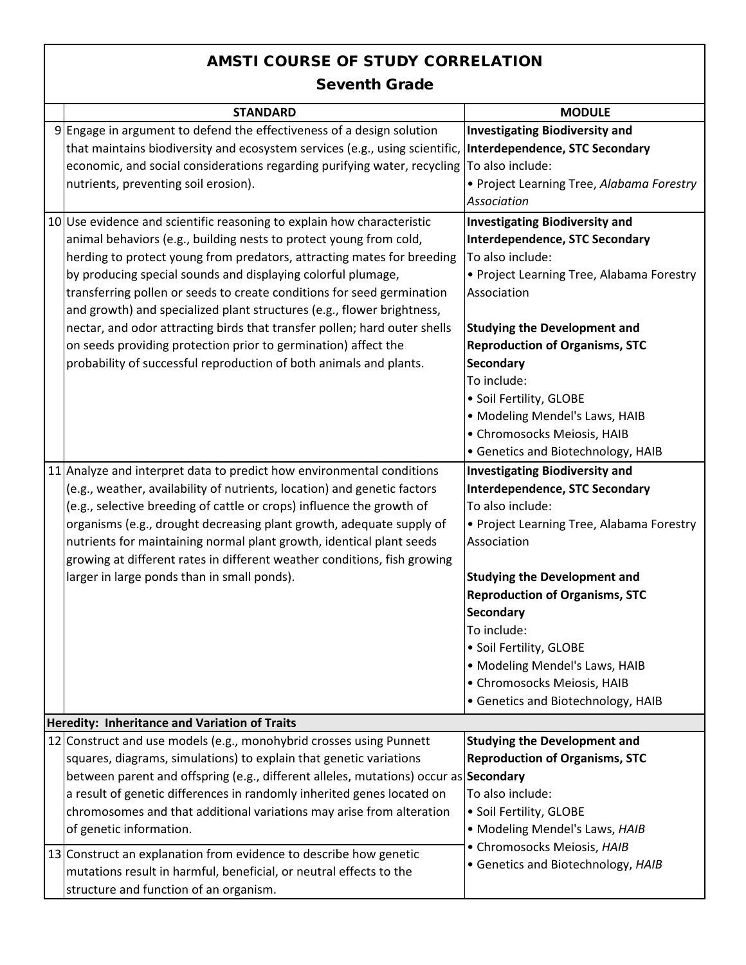| <b>STANDARD</b>                                                                      | <b>MODULE</b>                             |
|--------------------------------------------------------------------------------------|-------------------------------------------|
| 9 Engage in argument to defend the effectiveness of a design solution                | <b>Investigating Biodiversity and</b>     |
| that maintains biodiversity and ecosystem services (e.g., using scientific,          | Interdependence, STC Secondary            |
| economic, and social considerations regarding purifying water, recycling             | To also include:                          |
| nutrients, preventing soil erosion).                                                 | • Project Learning Tree, Alabama Forestry |
|                                                                                      | <b>Association</b>                        |
| 10 Use evidence and scientific reasoning to explain how characteristic               | <b>Investigating Biodiversity and</b>     |
| animal behaviors (e.g., building nests to protect young from cold,                   | <b>Interdependence, STC Secondary</b>     |
| herding to protect young from predators, attracting mates for breeding               | To also include:                          |
| by producing special sounds and displaying colorful plumage,                         | • Project Learning Tree, Alabama Forestry |
| transferring pollen or seeds to create conditions for seed germination               | Association                               |
| and growth) and specialized plant structures (e.g., flower brightness,               |                                           |
| nectar, and odor attracting birds that transfer pollen; hard outer shells            | <b>Studying the Development and</b>       |
| on seeds providing protection prior to germination) affect the                       | <b>Reproduction of Organisms, STC</b>     |
| probability of successful reproduction of both animals and plants.                   | <b>Secondary</b>                          |
|                                                                                      | To include:                               |
|                                                                                      | · Soil Fertility, GLOBE                   |
|                                                                                      | • Modeling Mendel's Laws, HAIB            |
|                                                                                      | • Chromosocks Meiosis, HAIB               |
|                                                                                      | • Genetics and Biotechnology, HAIB        |
| 11 Analyze and interpret data to predict how environmental conditions                | <b>Investigating Biodiversity and</b>     |
| (e.g., weather, availability of nutrients, location) and genetic factors             | <b>Interdependence, STC Secondary</b>     |
| (e.g., selective breeding of cattle or crops) influence the growth of                | To also include:                          |
| organisms (e.g., drought decreasing plant growth, adequate supply of                 | • Project Learning Tree, Alabama Forestry |
| nutrients for maintaining normal plant growth, identical plant seeds                 | Association                               |
| growing at different rates in different weather conditions, fish growing             |                                           |
| larger in large ponds than in small ponds).                                          | <b>Studying the Development and</b>       |
|                                                                                      | <b>Reproduction of Organisms, STC</b>     |
|                                                                                      | Secondary                                 |
|                                                                                      | To include:                               |
|                                                                                      | · Soil Fertility, GLOBE                   |
|                                                                                      | • Modeling Mendel's Laws, HAIB            |
|                                                                                      | · Chromosocks Meiosis, HAIB               |
|                                                                                      | • Genetics and Biotechnology, HAIB        |
| Heredity: Inheritance and Variation of Traits                                        |                                           |
| 12 Construct and use models (e.g., monohybrid crosses using Punnett                  | <b>Studying the Development and</b>       |
| squares, diagrams, simulations) to explain that genetic variations                   | <b>Reproduction of Organisms, STC</b>     |
| between parent and offspring (e.g., different alleles, mutations) occur as Secondary |                                           |
| a result of genetic differences in randomly inherited genes located on               | To also include:                          |
| chromosomes and that additional variations may arise from alteration                 | · Soil Fertility, GLOBE                   |
| of genetic information.                                                              | • Modeling Mendel's Laws, HAIB            |
| 13 Construct an explanation from evidence to describe how genetic                    | · Chromosocks Meiosis, HAIB               |
| mutations result in harmful, beneficial, or neutral effects to the                   | • Genetics and Biotechnology, HAIB        |
|                                                                                      |                                           |
| structure and function of an organism.                                               |                                           |